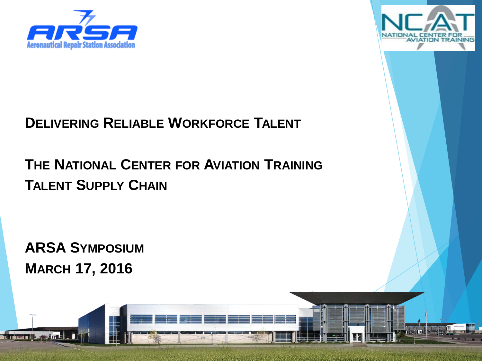



### **DELIVERING RELIABLE WORKFORCE TALENT**

## **THE NATIONAL CENTER FOR AVIATION TRAINING TALENT SUPPLY CHAIN**

**ARSA SYMPOSIUM MARCH 17, 2016**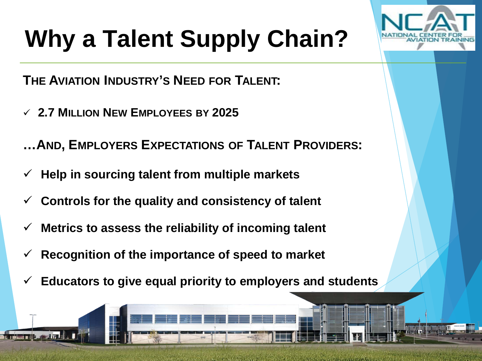# **Why a Talent Supply Chain?**

**THE AVIATION INDUSTRY'S NEED FOR TALENT:**

**2.7 MILLION NEW EMPLOYEES BY 2025**

**…AND, EMPLOYERS EXPECTATIONS OF TALENT PROVIDERS:**

- **Help in sourcing talent from multiple markets**
- **Controls for the quality and consistency of talent**
- **Metrics to assess the reliability of incoming talent**
- **Recognition of the importance of speed to market**
- **Educators to give equal priority to employers and students**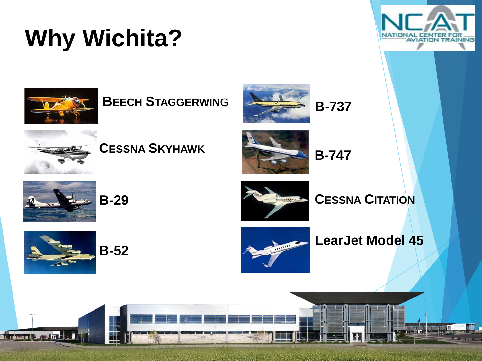# **Why Wichita?**





### **BEECH STAGGERWIN**G







#### **CESSNA SKYHAWK**



**B-747**







**CESSNA CITATION**



 $\pm$  171.1







*CALL A MARIN*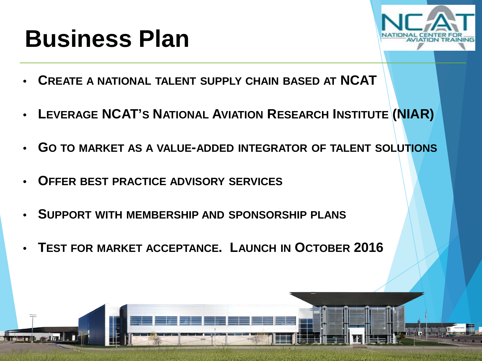## **Business Plan**



- **CREATE A NATIONAL TALENT SUPPLY CHAIN BASED AT NCAT**
- **LEVERAGE NCAT'S NATIONAL AVIATION RESEARCH INSTITUTE (NIAR)**
- **GO TO MARKET AS A VALUE-ADDED INTEGRATOR OF TALENT SOLUTIONS**
- **OFFER BEST PRACTICE ADVISORY SERVICES**
- **SUPPORT WITH MEMBERSHIP AND SPONSORSHIP PLANS**
- **TEST FOR MARKET ACCEPTANCE. LAUNCH IN OCTOBER 2016**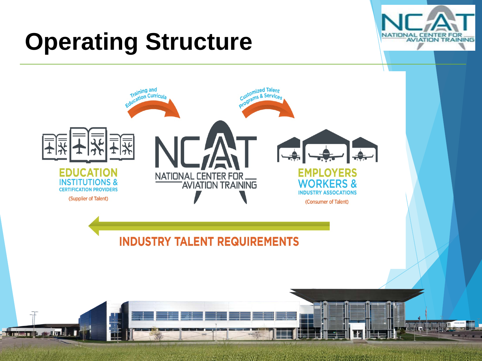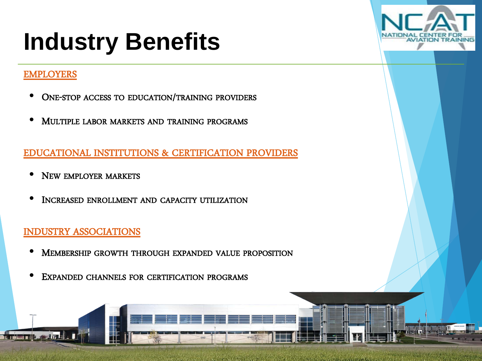## **Industry Benefits**



#### EMPLOYERS

**SER** 

- **ONE-STOP ACCESS TO EDUCATION/TRAINING PROVIDERS**
- **MULTIPLE LABOR MARKETS AND TRAINING PROGRAMS**

## <u>EDUCATIONAL INSTITUTIONS & CERTIFICATION PROVIDERS</u>

- INEW EMILLOTER MARKETS • NEW EMPLOYER MARKETS
- **INCREASED ENROLLMENT AND CAPACITY UTILIZATION**

#### Create a new brand emphasizing the ability to deliver 'reliable talent' at scale. INDUSTRY ASSOCIATIONS

- MEMBERSHIP GROWTH THROUGH EXPANDED VALUE PROPOSITION
- EXPANDED CHANNELS FOR CERTIFICATION PROGRAMS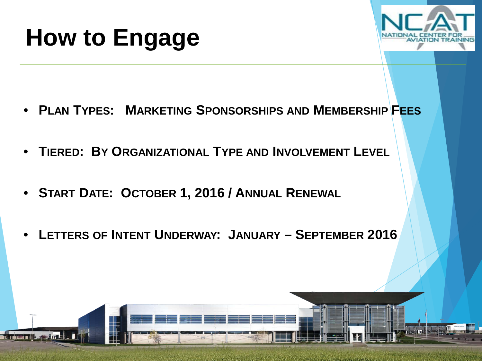



- **PLAN TYPES: MARKETING SPONSORSHIPS AND MEMBERSHIP FEES**
- **TIERED: BY ORGANIZATIONAL TYPE AND INVOLVEMENT LEVEL**
- **START DATE: OCTOBER 1, 2016 / ANNUAL RENEWAL**
- **LETTERS OF INTENT UNDERWAY: JANUARY – SEPTEMBER 2016**